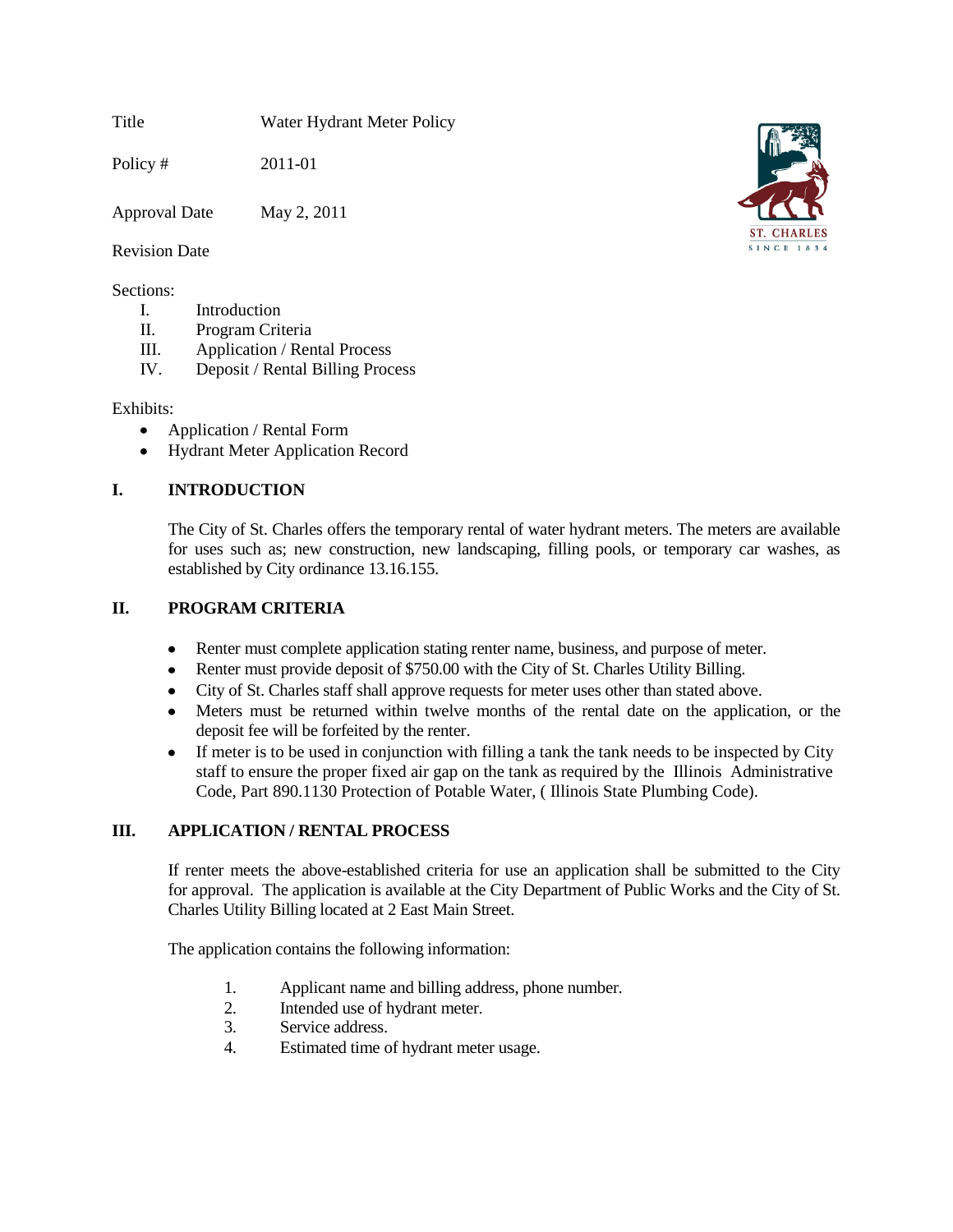Title Water Hydrant Meter Policy

Policy # 2011-01

Approval Date May 2, 2011

#### Revision Date

#### Sections:

- I. Introduction
- II. Program Criteria
- III. Application / Rental Process
- IV. Deposit / Rental Billing Process

#### Exhibits:

- Application / Rental Form  $\bullet$
- Hydrant Meter Application Record  $\bullet$

# **I. INTRODUCTION**

The City of St. Charles offers the temporary rental of water hydrant meters. The meters are available for uses such as; new construction, new landscaping, filling pools, or temporary car washes, as established by City ordinance 13.16.155.

## **II. PROGRAM CRITERIA**

- Renter must complete application stating renter name, business, and purpose of meter.  $\bullet$
- Renter must provide deposit of \$750.00 with the City of St. Charles Utility Billing.
- City of St. Charles staff shall approve requests for meter uses other than stated above.
- Meters must be returned within twelve months of the rental date on the application, or the deposit fee will be forfeited by the renter.
- If meter is to be used in conjunction with filling a tank the tank needs to be inspected by City staff to ensure the proper fixed air gap on the tank as required by the Illinois Administrative Code, Part 890.1130 Protection of Potable Water, ( Illinois State Plumbing Code).

# **III. APPLICATION / RENTAL PROCESS**

If renter meets the above-established criteria for use an application shall be submitted to the City for approval. The application is available at the City Department of Public Works and the City of St. Charles Utility Billing located at 2 East Main Street.

The application contains the following information:

- 1. Applicant name and billing address, phone number.
- 2. Intended use of hydrant meter.
- 3. Service address.
- 4. Estimated time of hydrant meter usage.